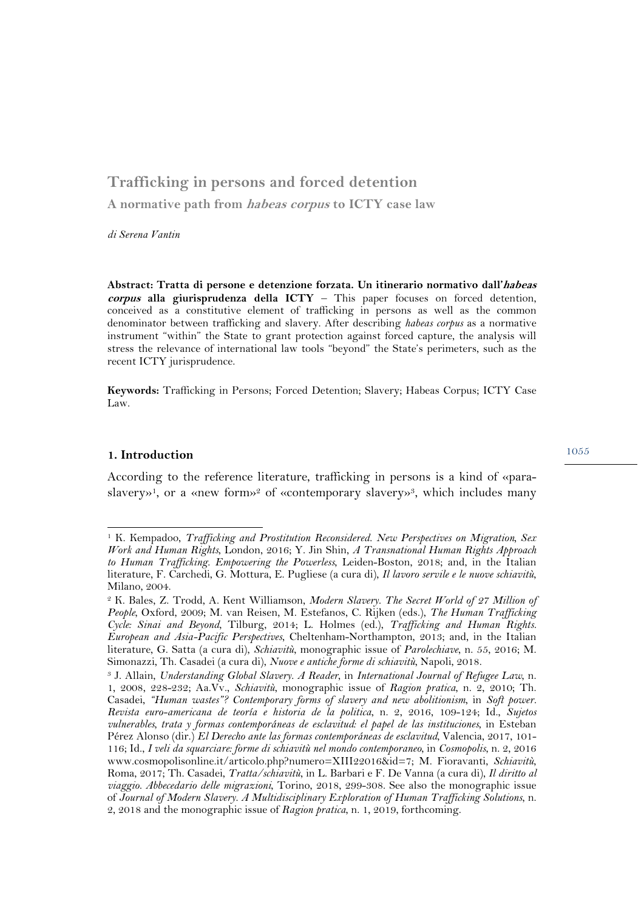# **Trafficking in persons and forced detention A normative path from habeas corpus to ICTY case law**

*di Serena Vantin* 

**Abstract: Tratta di persone e detenzione forzata. Un itinerario normativo dall'habeas corpus alla giurisprudenza della ICTY** – This paper focuses on forced detention, conceived as a constitutive element of trafficking in persons as well as the common denominator between trafficking and slavery. After describing *habeas corpus* as a normative instrument "within" the State to grant protection against forced capture, the analysis will stress the relevance of international law tools "beyond" the State's perimeters, such as the recent ICTY jurisprudence.

**Keywords:** Trafficking in Persons; Forced Detention; Slavery; Habeas Corpus; ICTY Case Law.

#### **1. Introduction**

 $\overline{a}$ 

According to the reference literature, trafficking in persons is a kind of «paraslavery»1, or a «new form»2 of «contemporary slavery»3, which includes many

<sup>1</sup> K. Kempadoo, *Trafficking and Prostitution Reconsidered. New Perspectives on Migration, Sex Work and Human Rights*, London, 2016; Y. Jin Shin, *A Transnational Human Rights Approach to Human Trafficking. Empowering the Powerless*, Leiden-Boston, 2018; and, in the Italian literature, F. Carchedi, G. Mottura, E. Pugliese (a cura di), *Il lavoro servile e le nuove schiavitù*, Milano, 2004.

<sup>2</sup> K. Bales, Z. Trodd, A. Kent Williamson, *Modern Slavery. The Secret World of 27 Million of People*, Oxford, 2009; M. van Reisen, M. Estefanos, C. Rijken (eds.), *The Human Trafficking Cycle: Sinai and Beyond*, Tilburg, 2014; L. Holmes (ed.), *Trafficking and Human Rights. European and Asia-Pacific Perspectives*, Cheltenham-Northampton, 2013; and, in the Italian literature, G. Satta (a cura di), *Schiavitù*, monographic issue of *Parolechiave*, n. 55, 2016; M. Simonazzi, Th. Casadei (a cura di), *Nuove e antiche forme di schiavitù*, Napoli, 2018.<br><sup>3</sup> J. Allain, *Understanding Global Slavery. A Reader*, in *International Journal of Refugee Law*, n.

<sup>1, 2008, 228-232;</sup> Aa.Vv., *Schiavitù*, monographic issue of *Ragion pratica*, n. 2, 2010; Th. Casadei, *"Human wastes"? Contemporary forms of slavery and new abolitionism*, in *Soft power. Revista euro-americana de teoría e historia de la politica*, n. 2, 2016, 109-124; Id., *Sujetos vulnerables, trata y formas contemporáneas de esclavitud: el papel de las instituciones*, in Esteban Pérez Alonso (dir.) *El Derecho ante las formas contemporáneas de esclavitud*, Valencia, 2017, 101- 116; Id., *I veli da squarciare: forme di schiavitù nel mondo contemporaneo*, in *Cosmopolis*, n. 2, 2016 www.cosmopolisonline.it/articolo.php?numero=XIII22016&id=7; M. Fioravanti, *Schiavitù*, Roma, 2017; Th. Casadei, *Tratta/schiavitù*, in L. Barbari e F. De Vanna (a cura di), *Il diritto al viaggio. Abbecedario delle migrazioni*, Torino, 2018, 299-308. See also the monographic issue of *Journal of Modern Slavery. A Multidisciplinary Exploration of Human Trafficking Solutions*, n. 2, 2018 and the monographic issue of *Ragion pratica*, n. 1, 2019, forthcoming.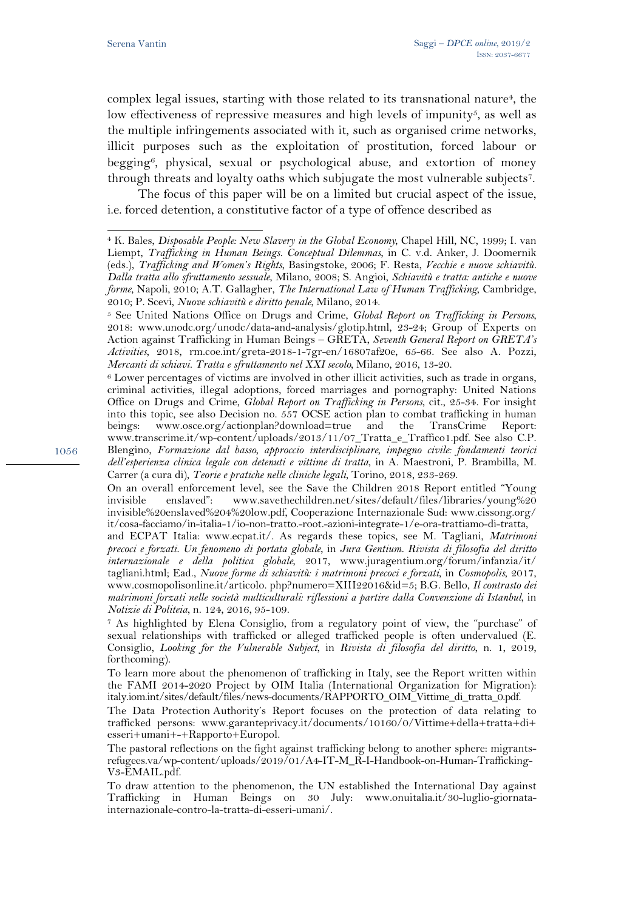$\overline{a}$ 

complex legal issues, starting with those related to its transnational nature4, the low effectiveness of repressive measures and high levels of impunity<sup>5</sup>, as well as the multiple infringements associated with it, such as organised crime networks, illicit purposes such as the exploitation of prostitution, forced labour or begging<sup>6</sup>, physical, sexual or psychological abuse, and extortion of money through threats and loyalty oaths which subjugate the most vulnerable subjects7.

The focus of this paper will be on a limited but crucial aspect of the issue, i.e. forced detention, a constitutive factor of a type of offence described as

Carrer (a cura di), *Teorie e pratiche nelle cliniche legali*, Torino, 2018, 233-269.

On an overall enforcement level, see the Save the Children 2018 Report entitled "Young invisible enslaved": www.savethechildren.net/sites/default/files/libraries/young%20 invisible%20enslaved%204%20low.pdf, Cooperazione Internazionale Sud: www.cissong.org/ it/cosa-facciamo/in-italia-1/io-non-tratto.-root.-azioni-integrate-1/e-ora-trattiamo-di-tratta,

and ECPAT Italia: www.ecpat.it/. As regards these topics, see M. Tagliani, *Matrimoni precoci e forzati. Un fenomeno di portata globale*, in *Jura Gentium. Rivista di filosofia del diritto internazionale e della politica globale*, 2017, www.juragentium.org/forum/infanzia/it/ tagliani.html; Ead., *Nuove forme di schiavitù: i matrimoni precoci e forzati*, in *Cosmopolis*, 2017, www.cosmopolisonline.it/articolo. php?numero=XIII22016&id=5; B.G. Bello, *Il contrasto dei matrimoni forzati nelle società multiculturali: riflessioni a partire dalla Convenzione di Istanbul*, in *Notizie di Politeia*, n. 124, 2016, 95-109. 7 As highlighted by Elena Consiglio, from a regulatory point of view, the "purchase" of

sexual relationships with trafficked or alleged trafficked people is often undervalued (E. Consiglio, *Looking for the Vulnerable Subject*, in *Rivista di filosofia del diritto*, n. 1, 2019, forthcoming).

To learn more about the phenomenon of trafficking in Italy, see the Report written within the FAMI 2014-2020 Project by OIM Italia (International Organization for Migration): italy.iom.int/sites/default/files/news-documents/RAPPORTO\_OIM\_Vittime\_di\_tratta\_0.pdf.

The Data Protection Authority's Report focuses on the protection of data relating to trafficked persons: www.garanteprivacy.it/documents/10160/0/Vittime+della+tratta+di+ esseri+umani+-+Rapporto+Europol.

The pastoral reflections on the fight against trafficking belong to another sphere: migrantsrefugees.va/wp-content/uploads/2019/01/A4-IT-M\_R-I-Handbook-on-Human-Trafficking-V3-EMAIL.pdf.

To draw attention to the phenomenon, the UN established the International Day against Trafficking in Human Beings on 30 July: www.onuitalia.it/30-luglio-giornatainternazionale-contro-la-tratta-di-esseri-umani/.

<sup>4</sup> K. Bales, *Disposable People: New Slavery in the Global Economy*, Chapel Hill, NC, 1999; I. van Liempt, *Trafficking in Human Beings. Conceptual Dilemmas*, in C. v.d. Anker, J. Doomernik (eds.), *Trafficking and Women's Rights*, Basingstoke, 2006; F. Resta, *Vecchie e nuove schiavitù. Dalla tratta allo sfruttamento sessuale*, Milano, 2008; S. Angioi, *Schiavitù e tratta: antiche e nuove forme*, Napoli, 2010; A.T. Gallagher, *The International Law of Human Trafficking*, Cambridge,

<sup>2010;</sup> P. Scevi, *Nuove schiavitù e diritto penale*, Milano, 2014. 5 See United Nations Office on Drugs and Crime, *Global Report on Trafficking in Persons*, 2018: www.unodc.org/unodc/data-and-analysis/glotip.html, 23-24; Group of Experts on Action against Trafficking in Human Beings – GRETA, *Seventh General Report on GRETA's Activities*, 2018, rm.coe.int/greta-2018-1-7gr-en/16807af20e, 65-66. See also A. Pozzi,

*Mercanti di schiavi. Tratta e sfruttamento nel XXI secolo*, Milano, 2016, 13-20.<br><sup>6</sup> Lower percentages of victims are involved in other illicit activities, such as trade in organs, criminal activities, illegal adoptions, forced marriages and pornography: United Nations Office on Drugs and Crime, *Global Report on Trafficking in Persons*, cit., 25-34. For insight into this topic, see also Decision no. 557 OCSE action plan to combat trafficking in human beings: www.osce.org/actionplan?download=true and the TransCrime Report: www.transcrime.it/wp-content/uploads/2013/11/07\_Tratta\_e\_Traffico1.pdf. See also C.P. Blengino, *Formazione dal basso, approccio interdisciplinare, impegno civile: fondamenti teorici dell'esperienza clinica legale con detenuti e vittime di tratta*, in A. Maestroni, P. Brambilla, M.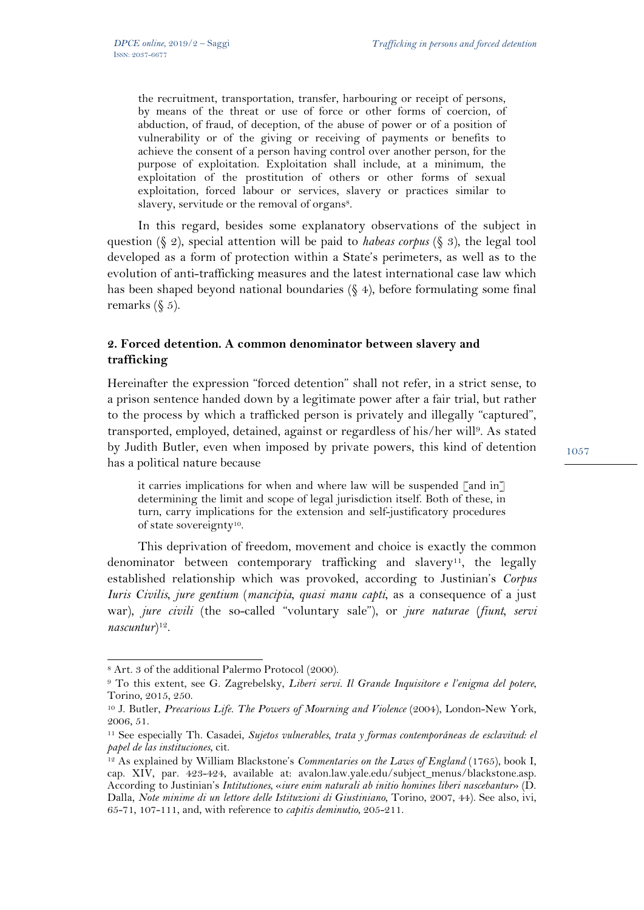the recruitment, transportation, transfer, harbouring or receipt of persons, by means of the threat or use of force or other forms of coercion, of abduction, of fraud, of deception, of the abuse of power or of a position of vulnerability or of the giving or receiving of payments or benefits to achieve the consent of a person having control over another person, for the purpose of exploitation. Exploitation shall include, at a minimum, the exploitation of the prostitution of others or other forms of sexual exploitation, forced labour or services, slavery or practices similar to slavery, servitude or the removal of organs<sup>8</sup>.

In this regard, besides some explanatory observations of the subject in question (§ 2), special attention will be paid to *habeas corpus* (§ 3), the legal tool developed as a form of protection within a State's perimeters, as well as to the evolution of anti-trafficking measures and the latest international case law which has been shaped beyond national boundaries (§ 4), before formulating some final remarks  $(\xi 5)$ .

### **2. Forced detention. A common denominator between slavery and trafficking**

Hereinafter the expression "forced detention" shall not refer, in a strict sense, to a prison sentence handed down by a legitimate power after a fair trial, but rather to the process by which a trafficked person is privately and illegally "captured", transported, employed, detained, against or regardless of his/her will9. As stated by Judith Butler, even when imposed by private powers, this kind of detention has a political nature because

it carries implications for when and where law will be suspended  $\lceil$  and in $\rceil$ determining the limit and scope of legal jurisdiction itself. Both of these, in turn, carry implications for the extension and self-justificatory procedures of state sovereignty10.

This deprivation of freedom, movement and choice is exactly the common denominator between contemporary trafficking and slavery<sup>11</sup>, the legally established relationship which was provoked, according to Justinian's *Corpus Iuris Civilis*, *jure gentium* (*mancipia, quasi manu capti*, as a consequence of a just war), *jure civili* (the so-called "voluntary sale"), or *jure naturae* (*fiunt, servi nascuntur*)12.

l

<sup>8</sup> Art. 3 of the additional Palermo Protocol (2000).

<sup>9</sup> To this extent, see G. Zagrebelsky, *Liberi servi. Il Grande Inquisitore e l'enigma del potere*, Torino, 2015, 250.

<sup>&</sup>lt;sup>10</sup> J. Butler, *Precarious Life. The Powers of Mourning and Violence* (2004), London-New York, 2006, 51.

<sup>11</sup> See especially Th. Casadei, *Sujetos vulnerables, trata y formas contemporáneas de esclavitud: el papel de las instituciones, cit.*<br><sup>12</sup> As explained by William Blackstone's *Commentaries on the Laws of England* (1765), book I,

cap. XIV, par. 423-424, available at: avalon.law.yale.edu/subject\_menus/blackstone.asp. According to Justinian's *Intitutiones,* «*iure enim naturali ab initio homines liberi nascebantur*» (D. Dalla, *Note minime di un lettore delle Istituzioni di Giustiniano*, Torino, 2007, 44). See also, ivi, 65-71, 107-111, and, with reference to *capitis deminutio*, 205-211.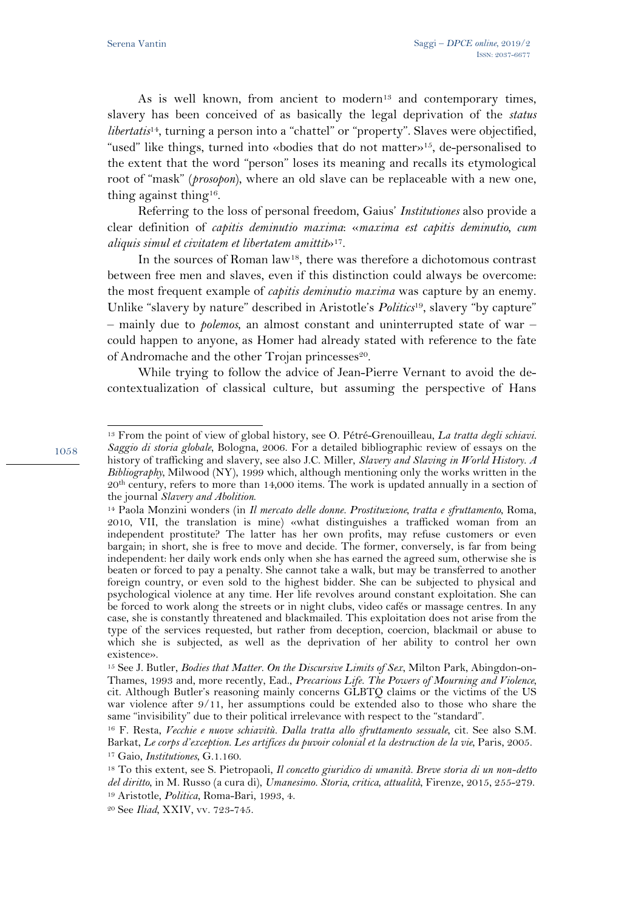As is well known, from ancient to modern<sup>13</sup> and contemporary times, slavery has been conceived of as basically the legal deprivation of the *status libertatis*14, turning a person into a "chattel" or "property". Slaves were objectified, "used" like things, turned into «bodies that do not matter»15, de-personalised to the extent that the word "person" loses its meaning and recalls its etymological root of "mask" (*prosopon*), where an old slave can be replaceable with a new one, thing against thing<sup>16</sup>.

Referring to the loss of personal freedom, Gaius' *Institutiones* also provide a clear definition of *capitis deminutio maxima*: «*maxima est capitis deminutio, cum aliquis simul et civitatem et libertatem amittit*»17.

In the sources of Roman law18, there was therefore a dichotomous contrast between free men and slaves, even if this distinction could always be overcome: the most frequent example of *capitis deminutio maxima* was capture by an enemy. Unlike "slavery by nature" described in Aristotle's *Politics*19, slavery "by capture" - mainly due to *polemos*, an almost constant and uninterrupted state of war could happen to anyone, as Homer had already stated with reference to the fate of Andromache and the other Trojan princesses<sup>20</sup>.

While trying to follow the advice of Jean-Pierre Vernant to avoid the decontextualization of classical culture, but assuming the perspective of Hans

1058

l

<sup>13</sup> From the point of view of global history, see O. Pétré-Grenouilleau, *La tratta degli schiavi. Saggio di storia globale*, Bologna, 2006. For a detailed bibliographic review of essays on the history of trafficking and slavery, see also J.C. Miller, *Slavery and Slaving in World History. A Bibliography*, Milwood (NY), 1999 which, although mentioning only the works written in the 20th century, refers to more than 14,000 items. The work is updated annually in a section of the journal *Slavery and Abolition.*<br><sup>14</sup> Paola Monzini wonders (in *Il mercato delle donne. Prostituzione, tratta e sfruttamento, Roma,* 

<sup>2010,</sup> VII, the translation is mine) «what distinguishes a trafficked woman from an independent prostitute? The latter has her own profits, may refuse customers or even bargain; in short, she is free to move and decide. The former, conversely, is far from being independent: her daily work ends only when she has earned the agreed sum, otherwise she is beaten or forced to pay a penalty. She cannot take a walk, but may be transferred to another foreign country, or even sold to the highest bidder. She can be subjected to physical and psychological violence at any time. Her life revolves around constant exploitation. She can be forced to work along the streets or in night clubs, video cafés or massage centres. In any case, she is constantly threatened and blackmailed. This exploitation does not arise from the type of the services requested, but rather from deception, coercion, blackmail or abuse to which she is subjected, as well as the deprivation of her ability to control her own existence».

<sup>15</sup> See J. Butler, *Bodies that Matter. On the Discursive Limits of Sex*, Milton Park, Abingdon-on-Thames, 1993 and, more recently, Ead., *Precarious Life. The Powers of Mourning and Violence,*  cit. Although Butler's reasoning mainly concerns GLBTQ claims or the victims of the US war violence after 9/11, her assumptions could be extended also to those who share the same "invisibility" due to their political irrelevance with respect to the "standard". 16 F. Resta, *Vecchie e nuove schiavitù. Dalla tratta allo sfruttamento sessuale*, cit. See also S.M.

Barkat, Le corps d'exception. Les artifices du puvoir colonial et la destruction de la vie, Paris, 2005.<br><sup>17</sup> Gaio, Institutiones, G.1.160.<br><sup>18</sup> To this extent, see S. Pietropaoli, Il concetto giuridico di umanità. Breve s

*del diritto*, in M. Russo (a cura di), *Umanesimo. Storia, critica, attualità*, Firenze, 2015, 255-279. 19 Aristotle, *Politica*, Roma-Bari, 1993, 4. 20 See *Iliad*, XXIV, vv. 723-745.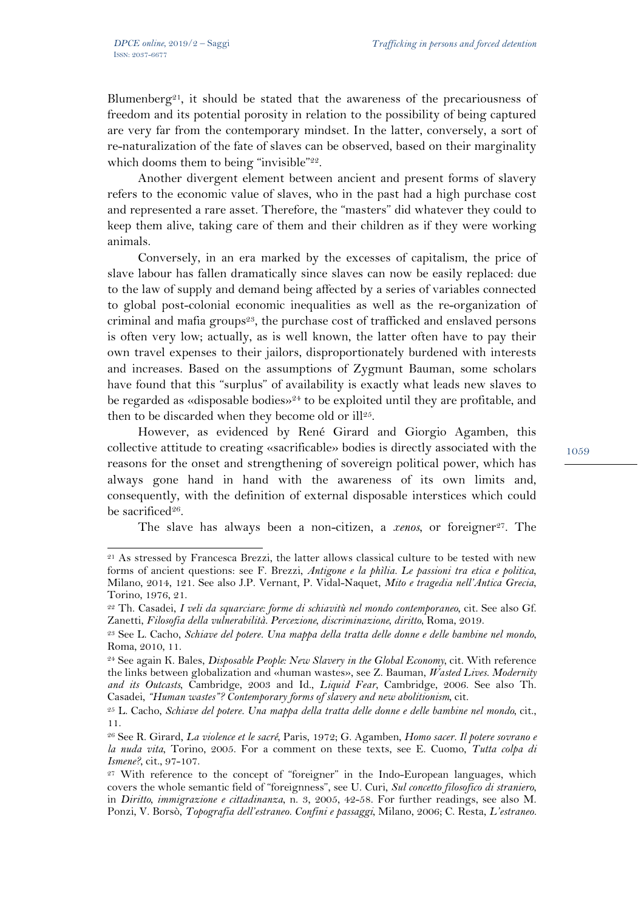$\overline{a}$ 

Blumenberg<sup>21</sup>, it should be stated that the awareness of the precariousness of freedom and its potential porosity in relation to the possibility of being captured are very far from the contemporary mindset. In the latter, conversely, a sort of re-naturalization of the fate of slaves can be observed, based on their marginality which dooms them to being "invisible"<sup>22</sup>.

Another divergent element between ancient and present forms of slavery refers to the economic value of slaves, who in the past had a high purchase cost and represented a rare asset. Therefore, the "masters" did whatever they could to keep them alive, taking care of them and their children as if they were working animals.

Conversely, in an era marked by the excesses of capitalism, the price of slave labour has fallen dramatically since slaves can now be easily replaced: due to the law of supply and demand being affected by a series of variables connected to global post-colonial economic inequalities as well as the re-organization of criminal and mafia groups<sup>23</sup>, the purchase cost of trafficked and enslaved persons is often very low; actually, as is well known, the latter often have to pay their own travel expenses to their jailors, disproportionately burdened with interests and increases. Based on the assumptions of Zygmunt Bauman, some scholars have found that this "surplus" of availability is exactly what leads new slaves to be regarded as «disposable bodies»24 to be exploited until they are profitable, and then to be discarded when they become old or ill $25$ .

However, as evidenced by René Girard and Giorgio Agamben, this collective attitude to creating «sacrificable» bodies is directly associated with the reasons for the onset and strengthening of sovereign political power, which has always gone hand in hand with the awareness of its own limits and, consequently, with the definition of external disposable interstices which could be sacrificed $26$ .

The slave has always been a non-citizen, a *xenos*, or foreigner<sup>27</sup>. The

<sup>21</sup> As stressed by Francesca Brezzi, the latter allows classical culture to be tested with new forms of ancient questions: see F. Brezzi, *Antigone e la phìlia. Le passioni tra etica e politica*, Milano, 2014, 121. See also J.P. Vernant, P. Vidal-Naquet, *Mito e tragedia nell'Antica Grecia*, Torino, 1976, 21.

<sup>22</sup> Th. Casadei, *I veli da squarciare: forme di schiavitù nel mondo contemporaneo*, cit. See also Gf. Zanetti, *Filosofia della vulnerabilità. Percezione, discriminazione, diritto*, Roma, 2019. 23 See L. Cacho, *Schiave del potere. Una mappa della tratta delle donne e delle bambine nel mondo*,

Roma, 2010, 11.

<sup>24</sup> See again K. Bales, *Disposable People: New Slavery in the Global Economy*, cit. With reference the links between globalization and «human wastes», see Z. Bauman, *Wasted Lives. Modernity and its Outcasts*, Cambridge, 2003 and Id., *Liquid Fear*, Cambridge, 2006. See also Th. Casadei, *"Human wastes"? Contemporary forms of slavery and new abolitionism*, cit. 25 L. Cacho, *Schiave del potere. Una mappa della tratta delle donne e delle bambine nel mondo*, cit.,

<sup>11.</sup> 

<sup>26</sup> See R. Girard, *La violence et le sacré*, Paris, 1972; G. Agamben, *Homo sacer. Il potere sovrano e la nuda vita*, Torino, 2005. For a comment on these texts, see E. Cuomo, *Tutta colpa di Ismene?*, cit., 97-107.<br><sup>27</sup> With reference to the concept of "foreigner" in the Indo-European languages, which

covers the whole semantic field of "foreignness", see U. Curi, *Sul concetto filosofico di straniero*, in *Diritto, immigrazione e cittadinanza*, n. 3, 2005, 42-58. For further readings, see also M. Ponzi, V. Borsò, *Topografia dell'estraneo. Confini e passaggi*, Milano, 2006; C. Resta, *L'estraneo.*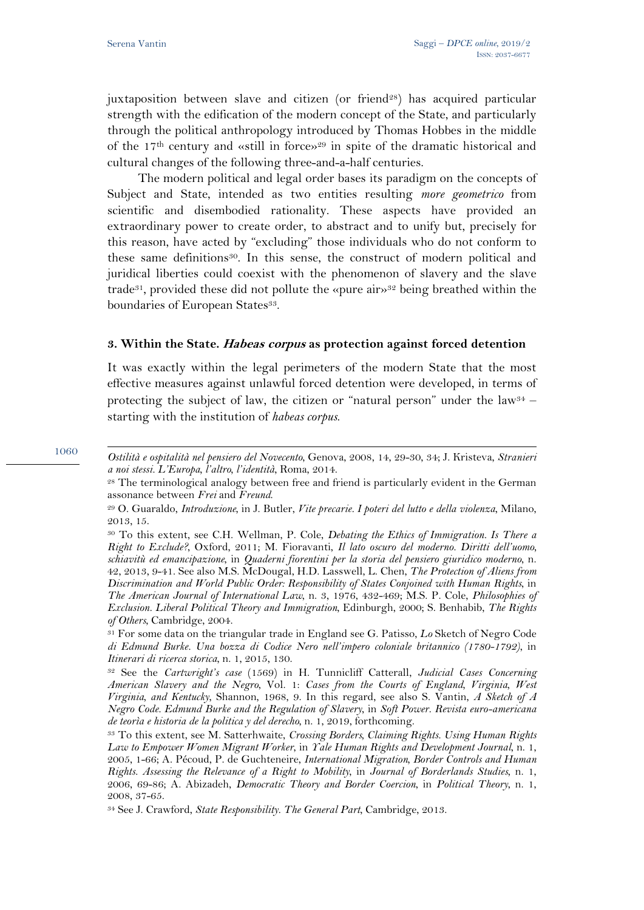1060

1

juxtaposition between slave and citizen (or friend<sup>28</sup>) has acquired particular strength with the edification of the modern concept of the State, and particularly through the political anthropology introduced by Thomas Hobbes in the middle of the  $17<sup>th</sup>$  century and «still in force»<sup>29</sup> in spite of the dramatic historical and cultural changes of the following three-and-a-half centuries.

The modern political and legal order bases its paradigm on the concepts of Subject and State, intended as two entities resulting *more geometrico* from scientific and disembodied rationality. These aspects have provided an extraordinary power to create order, to abstract and to unify but, precisely for this reason, have acted by "excluding" those individuals who do not conform to these same definitions30. In this sense, the construct of modern political and juridical liberties could coexist with the phenomenon of slavery and the slave trade<sup>31</sup>, provided these did not pollute the «pure air»<sup>32</sup> being breathed within the boundaries of European States<sup>33</sup>.

#### **3. Within the State. Habeas corpus as protection against forced detention**

It was exactly within the legal perimeters of the modern State that the most effective measures against unlawful forced detention were developed, in terms of protecting the subject of law, the citizen or "natural person" under the law $34$ starting with the institution of *habeas corpus*.

## *Ostilità e ospitalità nel pensiero del Novecento*, Genova, 2008, 14, 29-30, 34; J. Kristeva, *Stranieri a noi stessi. L'Europa, l'altro, l'identità*, Roma, 2014. 28 The terminological analogy between free and friend is particularly evident in the German

assonance between *Frei* and *Freund*. 29 O. Guaraldo, *Introduzione*, in J. Butler, *Vite precarie. I poteri del lutto e della violenza*, Milano,

<sup>2013, 15.</sup> 

<sup>30</sup> To this extent, see C.H. Wellman, P. Cole, *Debating the Ethics of Immigration. Is There a Right to Exclude?*, Oxford, 2011; M. Fioravanti, *Il lato oscuro del moderno. Diritti dell'uomo, schiavitù ed emancipazione*, in *Quaderni fiorentini per la storia del pensiero giuridico moderno*, n. 42, 2013, 9-41. See also M.S. McDougal, H.D. Lasswell, L. Chen, *The Protection of Aliens from Discrimination and World Public Order: Responsibility of States Conjoined with Human Rights*, in *The American Journal of International Law*, n. 3, 1976, 432-469; M.S. P. Cole, *Philosophies of Exclusion. Liberal Political Theory and Immigration*, Edinburgh, 2000; S. Benhabib, *The Rights of Others*, Cambridge, 2004. 31 For some data on the triangular trade in England see G. Patisso, *Lo* Sketch of Negro Code

*di Edmund Burke. Una bozza di Codice Nero nell'impero coloniale britannico (1780-1792)*, in *Itinerari di ricerca storica*, n. 1, 2015, 130.<br><sup>32</sup> See the *Cartwright's case* (1569) in H. Tunnicliff Catterall, *Judicial Cases Concerning* 

*American Slavery and the Negro*, Vol. 1: *Cases from the Courts of England, Virginia, West Virginia, and Kentucky*, Shannon, 1968, 9. In this regard, see also S. Vantin, *A Sketch of A Negro Code. Edmund Burke and the Regulation of Slavery*, in *Soft Power. Revista euro-americana* 

*de teorìa e historia de la politica y del derecho*, n. 1, 2019, forthcoming. 33 To this extent, see M. Satterhwaite, *Crossing Borders, Claiming Rights. Using Human Rights Law to Empower Women Migrant Worker*, in *Yale Human Rights and Development Journal*, n. 1, 2005, 1-66; A. Pécoud, P. de Guchteneire, *International Migration, Border Controls and Human Rights. Assessing the Relevance of a Right to Mobility*, in *Journal of Borderlands Studies*, n. 1, 2006, 69-86; A. Abizadeh, *Democratic Theory and Border Coercion*, in *Political Theory*, n. 1, 2008, 37-65.

<sup>34</sup> See J. Crawford, *State Responsibility. The General Part*, Cambridge, 2013.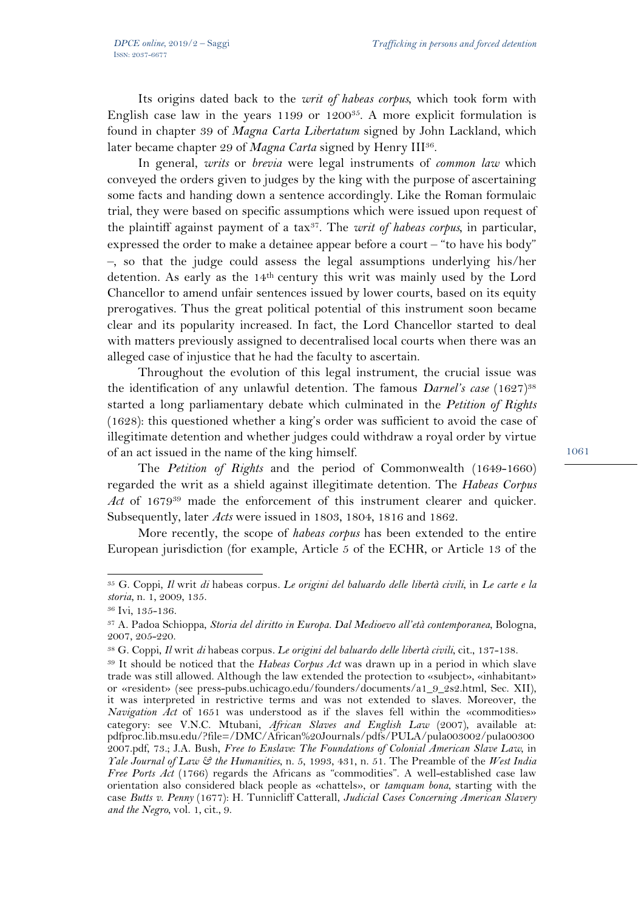Its origins dated back to the *writ of habeas corpus*, which took form with English case law in the years  $1199$  or  $1200^{35}$ . A more explicit formulation is found in chapter 39 of *Magna Carta Libertatum* signed by John Lackland, which later became chapter 29 of *Magna Carta* signed by Henry III<sup>36</sup>.

In general, *writs* or *brevia* were legal instruments of *common law* which conveyed the orders given to judges by the king with the purpose of ascertaining some facts and handing down a sentence accordingly. Like the Roman formulaic trial, they were based on specific assumptions which were issued upon request of the plaintiff against payment of a tax37. The *writ of habeas corpus,* in particular, expressed the order to make a detainee appear before a court – "to have his body" ‒, so that the judge could assess the legal assumptions underlying his/her detention. As early as the 14th century this writ was mainly used by the Lord Chancellor to amend unfair sentences issued by lower courts, based on its equity prerogatives. Thus the great political potential of this instrument soon became clear and its popularity increased. In fact, the Lord Chancellor started to deal with matters previously assigned to decentralised local courts when there was an alleged case of injustice that he had the faculty to ascertain.

Throughout the evolution of this legal instrument, the crucial issue was the identification of any unlawful detention. The famous *Darnel's case* (1627)<sup>38</sup> started a long parliamentary debate which culminated in the *Petition of Rights* (1628): this questioned whether a king's order was sufficient to avoid the case of illegitimate detention and whether judges could withdraw a royal order by virtue of an act issued in the name of the king himself.

The *Petition of Rights* and the period of Commonwealth (1649-1660) regarded the writ as a shield against illegitimate detention. The *Habeas Corpus Act* of 167939 made the enforcement of this instrument clearer and quicker. Subsequently, later *Acts* were issued in 1803, 1804, 1816 and 1862.

More recently, the scope of *habeas corpus* has been extended to the entire European jurisdiction (for example, Article 5 of the ECHR, or Article 13 of the

l

<sup>35</sup> G. Coppi, *Il* writ *di* habeas corpus*. Le origini del baluardo delle libertà civili*, in *Le carte e la storia*, n. 1, 2009, 135. 36 Ivi, 135-136.

<sup>37</sup> A. Padoa Schioppa, *Storia del diritto in Europa. Dal Medioevo all'età contemporanea*, Bologna, 2007, 205-220.

<sup>38</sup> G. Coppi, *Il* writ *di* habeas corpus*. Le origini del baluardo delle libertà civili*, cit., 137-138. 39 It should be noticed that the *Habeas Corpus Act* was drawn up in a period in which slave trade was still allowed. Although the law extended the protection to «subject», «inhabitant» or «resident» (see press-pubs.uchicago.edu/founders/documents/a1\_9\_2s2.html, Sec. XII), it was interpreted in restrictive terms and was not extended to slaves. Moreover, the *Navigation Act* of 1651 was understood as if the slaves fell within the «commodities» category: see V.N.C. Mtubani, *African Slaves and English Law* (2007), available at: pdfproc.lib.msu.edu/?file=/DMC/African%20Journals/pdfs/PULA/pula003002/pula00300 2007.pdf, 73.; J.A. Bush, *Free to Enslave: The Foundations of Colonial American Slave Law*, in *Yale Journal of Law & the Humanities*, n. 5, 1993, 431, n. 51. The Preamble of the *West India Free Ports Act* (1766) regards the Africans as "commodities". A well-established case law orientation also considered black people as «chattels», or *tamquam bona*, starting with the case *Butts v. Penny* (1677): H. Tunnicliff Catterall, *Judicial Cases Concerning American Slavery and the Negro*, vol. 1, cit., 9.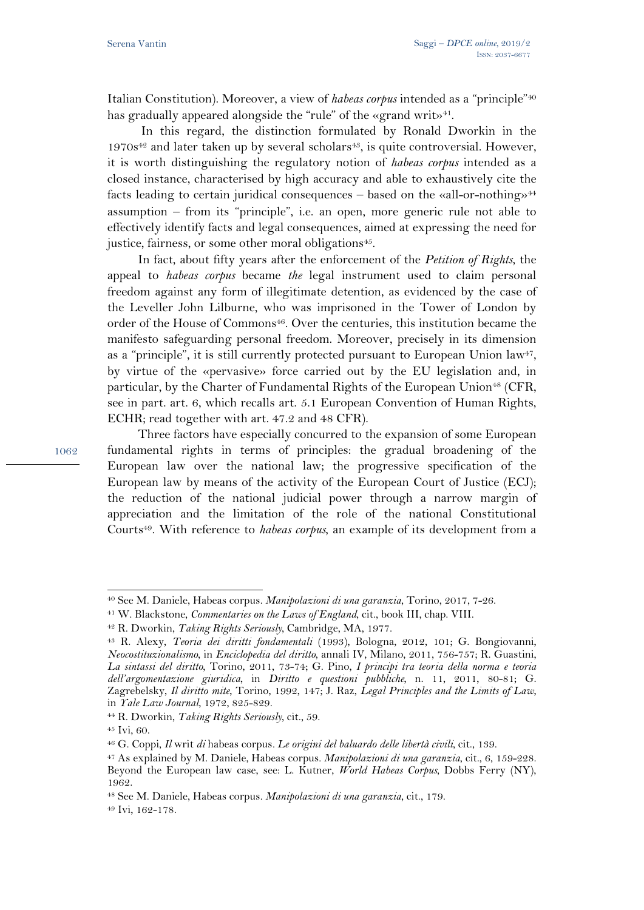Italian Constitution). Moreover, a view of *habeas corpus* intended as a "principle"40 has gradually appeared alongside the "rule" of the «grand writ»<sup>41</sup>.

 In this regard, the distinction formulated by Ronald Dworkin in the  $1970s^{42}$  and later taken up by several scholars<sup>43</sup>, is quite controversial. However, it is worth distinguishing the regulatory notion of *habeas corpus* intended as a closed instance, characterised by high accuracy and able to exhaustively cite the facts leading to certain juridical consequences – based on the «all-or-nothing»<sup>44</sup> assumption ‒ from its "principle", i.e. an open, more generic rule not able to effectively identify facts and legal consequences, aimed at expressing the need for justice, fairness, or some other moral obligations<sup>45</sup>.

In fact, about fifty years after the enforcement of the *Petition of Rights*, the appeal to *habeas corpus* became *the* legal instrument used to claim personal freedom against any form of illegitimate detention, as evidenced by the case of the Leveller John Lilburne, who was imprisoned in the Tower of London by order of the House of Commons $46$ . Over the centuries, this institution became the manifesto safeguarding personal freedom. Moreover, precisely in its dimension as a "principle", it is still currently protected pursuant to European Union law<sup>47</sup>, by virtue of the «pervasive» force carried out by the EU legislation and, in particular, by the Charter of Fundamental Rights of the European Union<sup>48</sup> (CFR, see in part. art. 6, which recalls art. 5.1 European Convention of Human Rights, ECHR; read together with art. 47.2 and 48 CFR).

Three factors have especially concurred to the expansion of some European fundamental rights in terms of principles: the gradual broadening of the European law over the national law; the progressive specification of the European law by means of the activity of the European Court of Justice (ECJ); the reduction of the national judicial power through a narrow margin of appreciation and the limitation of the role of the national Constitutional Courts<sup>49</sup>. With reference to *habeas corpus*, an example of its development from a

 $\overline{a}$ <sup>40</sup> See M. Daniele, Habeas corpus. *Manipolazioni di una garanzia*, Torino, 2017, 7-26.<br><sup>41</sup> W. Blackstone, *Commentaries on the Laws of England*, cit., book III, chap. VIII.<br><sup>42</sup> R. Dworkin, *Taking Rights Seriously*, Ca

*Neocostituzionalismo*, in *Enciclopedia del diritto*, annali IV, Milano, 2011, 756-757; R. Guastini, *La sintassi del diritto*, Torino, 2011, 73-74; G. Pino, *I principi tra teoria della norma e teoria dell'argomentazione giuridica*, in *Diritto e questioni pubbliche*, n. 11, 2011, 80-81; G. Zagrebelsky, *Il diritto mite*, Torino, 1992, 147; J. Raz, *Legal Principles and the Limits of Law*, in *Yale Law Journal*, 1972, 825-829. 44 R. Dworkin, *Taking Rights Seriously*, cit., 59. 45 Ivi, 60.

<sup>46</sup> G. Coppi, *Il* writ *di* habeas corpus*. Le origini del baluardo delle libertà civili*, cit., 139. 47 As explained by M. Daniele, Habeas corpus*. Manipolazioni di una garanzia*, cit., 6, 159-228. Beyond the European law case, see: L. Kutner, *World Habeas Corpus*, Dobbs Ferry (NY), 1962.

<sup>48</sup> See M. Daniele, Habeas corpus*. Manipolazioni di una garanzia*, cit., 179. 49 Ivi, 162-178.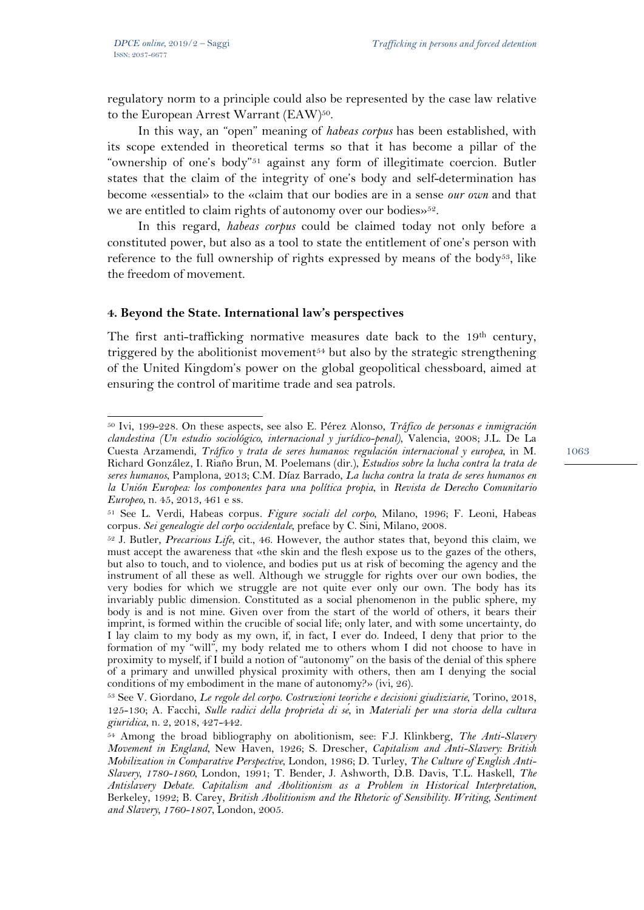$\overline{a}$ 

regulatory norm to a principle could also be represented by the case law relative to the European Arrest Warrant (EAW)<sup>50</sup>.

In this way, an "open" meaning of *habeas corpus* has been established, with its scope extended in theoretical terms so that it has become a pillar of the "ownership of one's body"<sup>51</sup> against any form of illegitimate coercion. Butler states that the claim of the integrity of one's body and self-determination has become «essential» to the «claim that our bodies are in a sense *our own* and that we are entitled to claim rights of autonomy over our bodies»<sup>52</sup>.

In this regard, *habeas corpus* could be claimed today not only before a constituted power, but also as a tool to state the entitlement of one's person with reference to the full ownership of rights expressed by means of the body<sup>53</sup>, like the freedom of movement.

#### **4. Beyond the State. International law's perspectives**

The first anti-trafficking normative measures date back to the 19<sup>th</sup> century, triggered by the abolitionist movement<sup> $54$ </sup> but also by the strategic strengthening of the United Kingdom's power on the global geopolitical chessboard, aimed at ensuring the control of maritime trade and sea patrols.

<sup>50</sup> Ivi, 199-228. On these aspects, see also E. Pérez Alonso, *Tráfico de personas e inmigración clandestina (Un estudio sociológico, internacional y jurídico-penal)*, Valencia, 2008; J.L. De La Cuesta Arzamendi, *Tráfico y trata de seres humanos: regulación internacional y europea*, in M. Richard González, I. Riaño Brun, M. Poelemans (dir.), *Estudios sobre la lucha contra la trata de seres humanos*, Pamplona, 2013; C.M. Díaz Barrado, *La lucha contra la trata de seres humanos en la Unión Europea: los componentes para una política propia*, in *Revista de Derecho Comunitario* 

*Europeo*, n. 45, 2013, 461 e ss.<br><sup>51</sup> See L. Verdi, Habeas corpus. *Figure sociali del corpo*, Milano, 1996; F. Leoni, Habeas<br>corpus. *Sei genealogie del corpo occidentale*, preface by C. Sini, Milano, 2008.

<sup>&</sup>lt;sup>52</sup> J. Butler, *Precarious Life*, cit., 46. However, the author states that, beyond this claim, we must accept the awareness that «the skin and the flesh expose us to the gazes of the others, but also to touch, and to violence, and bodies put us at risk of becoming the agency and the instrument of all these as well. Although we struggle for rights over our own bodies, the very bodies for which we struggle are not quite ever only our own. The body has its invariably public dimension. Constituted as a social phenomenon in the public sphere, my body is and is not mine. Given over from the start of the world of others, it bears their imprint, is formed within the crucible of social life; only later, and with some uncertainty, do I lay claim to my body as my own, if, in fact, I ever do. Indeed, I deny that prior to the formation of my "will", my body related me to others whom I did not choose to have in proximity to myself, if I build a notion of "autonomy" on the basis of the denial of this sphere of a primary and unwilled physical proximity with others, then am I denying the social conditions of my embodiment in the mane of autonomy?» (ivi, 26). 53 See V. Giordano, *Le regole del corpo. Costruzioni teoriche e decisioni giudiziarie*, Torino, 2018,

<sup>125-130;</sup> A. Facchi, *Sulle radici della proprietà di sé*, in *Materiali per una storia della cultura giuridica*, n. 2, 2018, 427-442. 54 Among the broad bibliography on abolitionism, see: F.J. Klinkberg, *The Anti-Slavery* 

*Movement in England*, New Haven, 1926; S. Drescher, *Capitalism and Anti-Slavery: British Mobilization in Comparative Perspective*, London, 1986; D. Turley, *The Culture of English Anti-Slavery, 1780-1860*, London, 1991; T. Bender, J. Ashworth, D.B. Davis, T.L. Haskell, *The Antislavery Debate. Capitalism and Abolitionism as a Problem in Historical Interpretation*, Berkeley, 1992; B. Carey, *British Abolitionism and the Rhetoric of Sensibility. Writing, Sentiment and Slavery, 1760-1807*, London, 2005.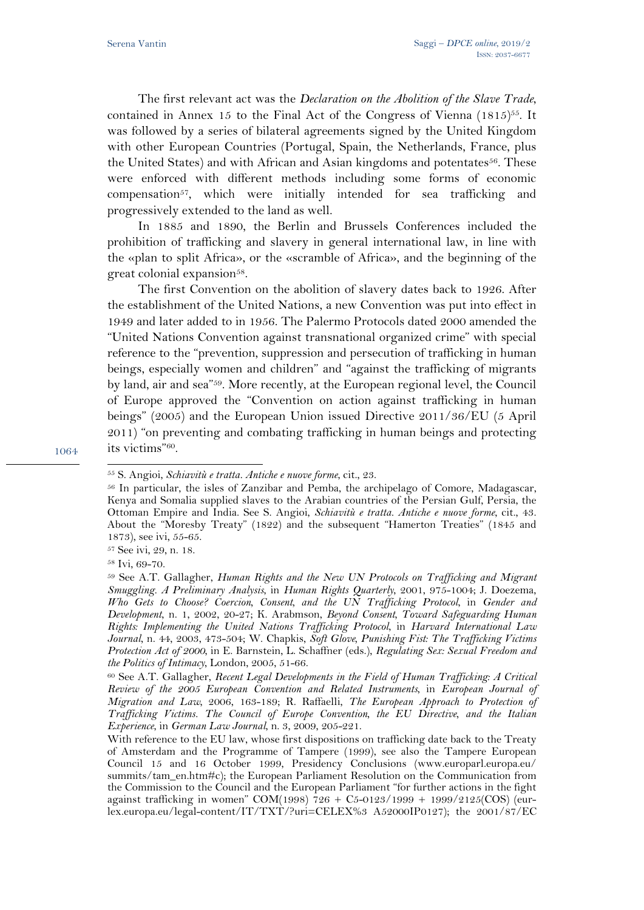The first relevant act was the *Declaration on the Abolition of the Slave Trade*, contained in Annex 15 to the Final Act of the Congress of Vienna  $(1815)^{55}$ . It was followed by a series of bilateral agreements signed by the United Kingdom with other European Countries (Portugal, Spain, the Netherlands, France, plus the United States) and with African and Asian kingdoms and potentates56. These were enforced with different methods including some forms of economic compensation<sup>57</sup>, which were initially intended for sea trafficking and progressively extended to the land as well.

In 1885 and 1890, the Berlin and Brussels Conferences included the prohibition of trafficking and slavery in general international law, in line with the «plan to split Africa», or the «scramble of Africa», and the beginning of the great colonial expansion<sup>58</sup>.

The first Convention on the abolition of slavery dates back to 1926. After the establishment of the United Nations, a new Convention was put into effect in 1949 and later added to in 1956. The Palermo Protocols dated 2000 amended the "United Nations Convention against transnational organized crime" with special reference to the "prevention, suppression and persecution of trafficking in human beings, especially women and children" and "against the trafficking of migrants by land, air and sea"59. More recently, at the European regional level, the Council of Europe approved the "Convention on action against trafficking in human beings" (2005) and the European Union issued Directive 2011/36/EU (5 April 2011) "on preventing and combating trafficking in human beings and protecting its victims"60.

57 See ivi, 29, n. 18.

58 Ivi, 69-70.

1064

 $\overline{a}$ 

<sup>55</sup> S. Angioi, *Schiavitù e tratta. Antiche e nuove forme*, cit., 23. 56 In particular, the isles of Zanzibar and Pemba, the archipelago of Comore, Madagascar, Kenya and Somalia supplied slaves to the Arabian countries of the Persian Gulf, Persia, the Ottoman Empire and India. See S. Angioi, *Schiavitù e tratta. Antiche e nuove forme*, cit., 43. About the "Moresby Treaty" (1822) and the subsequent "Hamerton Treaties" (1845 and 1873), see ivi, 55-65.

<sup>59</sup> See A.T. Gallagher, *Human Rights and the New UN Protocols on Trafficking and Migrant Smuggling. A Preliminary Analysis*, in *Human Rights Quarterly*, 2001, 975-1004; J. Doezema, *Who Gets to Choose? Coercion, Consent, and the UN Trafficking Protocol*, in *Gender and Development*, n. 1, 2002, 20-27; K. Arabmson, *Beyond Consent, Toward Safeguarding Human Rights: Implementing the United Nations Trafficking Protocol*, in *Harvard International Law Journal*, n. 44, 2003, 473-504; W. Chapkis, *Soft Glove, Punishing Fist: The Trafficking Victims Protection Act of 2000*, in E. Barnstein, L. Schaffner (eds.), *Regulating Sex: Sexual Freedom and* 

*the Politics of Intimacy*, London, 2005, 51-66.<br><sup>60</sup> See A.T. Gallagher, *Recent Legal Developments in the Field of Human Trafficking: A Critical Review of the 2005 European Convention and Related Instruments*, in *European Journal of Migration and Law*, 2006, 163-189; R. Raffaelli, *The European Approach to Protection of Trafficking Victims. The Council of Europe Convention, the EU Directive, and the Italian Experience*, in *German Law Journal*, n. 3, 2009, 205-221.

With reference to the EU law, whose first dispositions on trafficking date back to the Treaty of Amsterdam and the Programme of Tampere (1999), see also the Tampere European Council 15 and 16 October 1999, Presidency Conclusions (www.europarl.europa.eu/ summits/tam\_en.htm#c); the European Parliament Resolution on the Communication from the Commission to the Council and the European Parliament "for further actions in the fight against trafficking in women" COM(1998)  $726 + C5 -0123/1999 + 1999/2125$ (COS) (eurlex.europa.eu/legal-content/IT/TXT/?uri=CELEX%3 A52000IP0127); the 2001/87/EC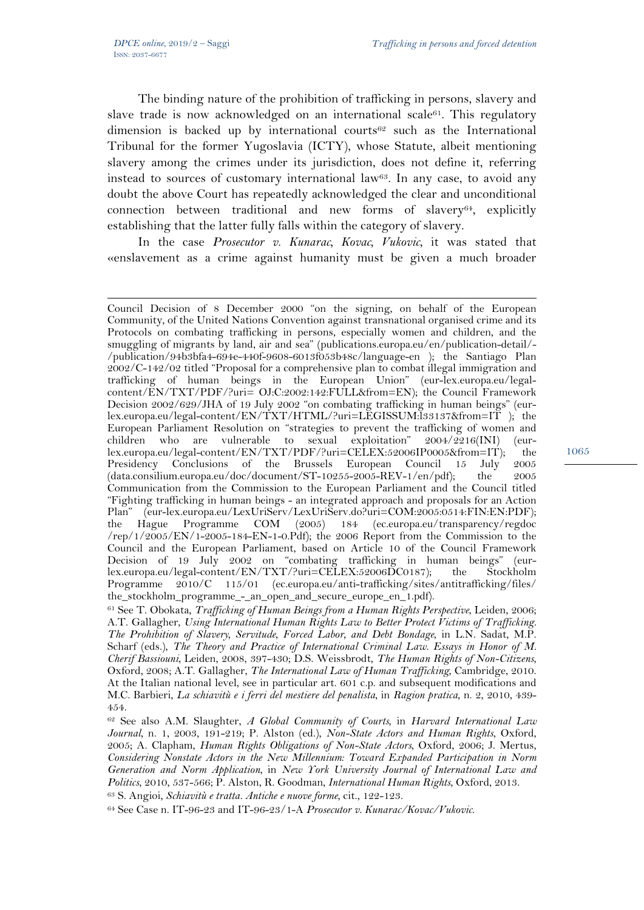1

The binding nature of the prohibition of trafficking in persons, slavery and slave trade is now acknowledged on an international scale<sup>61</sup>. This regulatory dimension is backed up by international courts<sup>62</sup> such as the International Tribunal for the former Yugoslavia (ICTY), whose Statute, albeit mentioning slavery among the crimes under its jurisdiction, does not define it, referring instead to sources of customary international law63. In any case, to avoid any doubt the above Court has repeatedly acknowledged the clear and unconditional connection between traditional and new forms of slavery64, explicitly establishing that the latter fully falls within the category of slavery.

In the case *Prosecutor v. Kunarac, Kovac, Vukovic*, it was stated that «enslavement as a crime against humanity must be given a much broader

Council Decision of 8 December 2000 "on the signing, on behalf of the European Community, of the United Nations Convention against transnational organised crime and its Protocols on combating trafficking in persons, especially women and children, and the smuggling of migrants by land, air and sea" (publications.europa.eu/en/publication-detail/-/publication/94b3bfa4-694e-440f-9608-6013f053b48c/language-en ); the Santiago Plan 2002/C-142/02 titled "Proposal for a comprehensive plan to combat illegal immigration and trafficking of human beings in the European Union" (eur-lex.europa.eu/legalcontent/EN/TXT/PDF/?uri= OJ:C:2002:142:FULL&from=EN); the Council Framework Decision 2002/629/JHA of 19 July 2002 "on combating trafficking in human beings" (eurlex.europa.eu/legal-content/EN/TXT/HTML/?uri=LEGISSUM:l33137&from=IT ); the European Parliament Resolution on "strategies to prevent the trafficking of women and children who are vulnerable to sexual exploitation" 2004/2216(INI) (eurlex.europa.eu/legal-content/EN/TXT/PDF/?uri=CELEX:52006IP0005&from=IT); the Presidency Conclusions of the Brussels European Council 15 July 2005  $(data. consilium.europa.eu/doc/document/ST-10255-2005-REV-1/en/pdf);$  the 2005 Communication from the Commission to the European Parliament and the Council titled "Fighting trafficking in human beings - an integrated approach and proposals for an Action Plan" (eur-lex.europa.eu/LexUriServ/LexUriServ.do?uri=COM:2005:0514:FIN:EN:PDF); the Hague Programme COM (2005) 184 (ec.europa.eu/transparency/regdoc /rep/1/2005/EN/1-2005-184-EN-1-0.Pdf); the 2006 Report from the Commission to the Council and the European Parliament, based on Article 10 of the Council Framework Decision of 19 July 2002 on "combating trafficking in human beings" (eurlex.europa.eu/legal-content/EN/TXT/?uri=CELEX:52006DC0187); the Stockholm Programme 2010/C 115/01 (ec.europa.eu/anti-trafficking/sites/antitrafficking/files/ the\_stockholm\_programme\_-\_an\_open\_and\_secure\_europe\_en\_1.pdf).

<sup>61</sup> See T. Obokata, *Trafficking of Human Beings from a Human Rights Perspective*, Leiden, 2006; A.T. Gallagher, *Using International Human Rights Law to Better Protect Victims of Trafficking. The Prohibition of Slavery, Servitude, Forced Labor, and Debt Bondage*, in L.N. Sadat, M.P. Scharf (eds.), *The Theory and Practice of International Criminal Law. Essays in Honor of M. Cherif Bassiouni*, Leiden, 2008, 397-430; D.S. Weissbrodt, *The Human Rights of Non-Citizens*, Oxford, 2008; A.T. Gallagher, *The International Law of Human Trafficking*, Cambridge, 2010. At the Italian national level, see in particular art. 601 c.p. and subsequent modifications and M.C. Barbieri, *La schiavitù e i ferri del mestiere del penalista*, in *Ragion pratica*, n. 2, 2010, 439- 454.

<sup>62</sup> See also A.M. Slaughter, *A Global Community of Courts*, in *Harvard International Law Journal*, n. 1, 2003, 191-219; P. Alston (ed.), *Non-State Actors and Human Rights*, Oxford, 2005; A. Clapham, *Human Rights Obligations of Non-State Actors*, Oxford, 2006; J. Mertus, *Considering Nonstate Actors in the New Millennium: Toward Expanded Participation in Norm Generation and Norm Application*, in *New York University Journal of International Law and*  Politics, 2010, 537-566; P. Alston, R. Goodman, International Human Rights, Oxford, 2013.<br><sup>63</sup> S. Angioi, *Schiavitù e tratta. Antiche e nuove forme*, cit., 122-123.<br><sup>64</sup> See Case n. IT-96-23 and IT-96-23/1-A *Prosecutor v*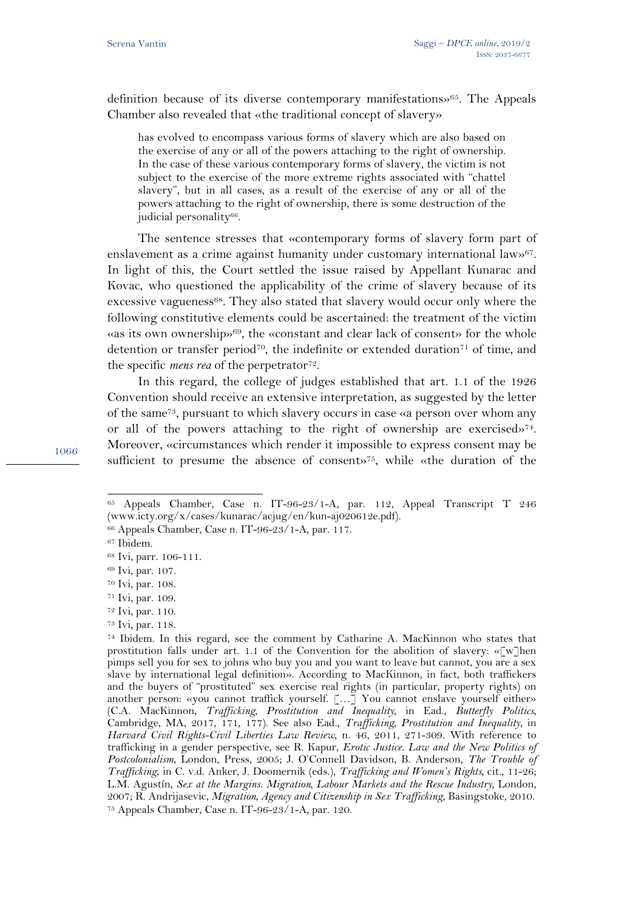definition because of its diverse contemporary manifestations»65. The Appeals Chamber also revealed that «the traditional concept of slavery»

has evolved to encompass various forms of slavery which are also based on the exercise of any or all of the powers attaching to the right of ownership. In the case of these various contemporary forms of slavery, the victim is not subject to the exercise of the more extreme rights associated with "chattel slavery", but in all cases, as a result of the exercise of any or all of the powers attaching to the right of ownership, there is some destruction of the judicial personality<sup>66</sup>.

The sentence stresses that «contemporary forms of slavery form part of enslavement as a crime against humanity under customary international law»<sup>67</sup>. In light of this, the Court settled the issue raised by Appellant Kunarac and Kovac, who questioned the applicability of the crime of slavery because of its excessive vagueness<sup>68</sup>. They also stated that slavery would occur only where the following constitutive elements could be ascertained: the treatment of the victim «as its own ownership»69, the «constant and clear lack of consent» for the whole detention or transfer period<sup>70</sup>, the indefinite or extended duration<sup>71</sup> of time, and the specific *mens rea* of the perpetrator<sup>72</sup>.

In this regard, the college of judges established that art. 1.1 of the 1926 Convention should receive an extensive interpretation, as suggested by the letter of the same73, pursuant to which slavery occurs in case «a person over whom any or all of the powers attaching to the right of ownership are exercised»<sup>74</sup>. Moreover, «circumstances which render it impossible to express consent may be sufficient to presume the absence of consent»75, while «the duration of the

1066

 $\overline{a}$ 

- 72 Ivi, par. 110.
- 73 Ivi, par. 118.

<sup>65</sup> Appeals Chamber, Case n. IT-96-23/1-A, par. 112, Appeal Transcript T 246 (www.icty.org/x/cases/kunarac/acjug/en/kun-aj020612e.pdf).

<sup>66</sup> Appeals Chamber, Case n. IT-96-23/1-A, par. 117.

<sup>67</sup> Ibidem.

<sup>68</sup> Ivi, parr. 106-111.

<sup>69</sup> Ivi, par. 107.

<sup>70</sup> Ivi, par. 108.

<sup>71</sup> Ivi, par. 109.

<sup>74</sup> Ibidem. In this regard, see the comment by Catharine A. MacKinnon who states that prostitution falls under art. 1.1 of the Convention for the abolition of slavery: « $\lfloor w \rfloor$ hen pimps sell you for sex to johns who buy you and you want to leave but cannot, you are a sex slave by international legal definition». According to MacKinnon, in fact, both traffickers and the buyers of "prostituted" sex exercise real rights (in particular, property rights) on another person: «you cannot traffick yourself. […] You cannot enslave yourself either» (C.A. MacKinnon, *Trafficking, Prostitution and Inequality*, in Ead., *Butterfly Politics*, Cambridge, MA, 2017, 171, 177). See also Ead., *Trafficking, Prostitution and Inequality*, in *Harvard Civil Rights-Civil Liberties Law Review*, n. 46, 2011, 271-309. With reference to trafficking in a gender perspective, see R. Kapur, *Erotic Justice. Law and the New Politics of Postcolonialism*, London, Press, 2005; J. O'Connell Davidson, B. Anderson, *The Trouble of Trafficking*, in C. v.d. Anker, J. Doomernik (eds.), *Trafficking and Women's Rights*, cit., 11-26; L.M. Agustín, *Sex at the Margins. Migration, Labour Markets and the Rescue Industry*, London, 2007; R. Andrijasevic, *Migration, Agency and Citizenship in Sex Trafficking*, Basingstoke, 2010. 75 Appeals Chamber, Case n. IT-96-23/1-A, par. 120.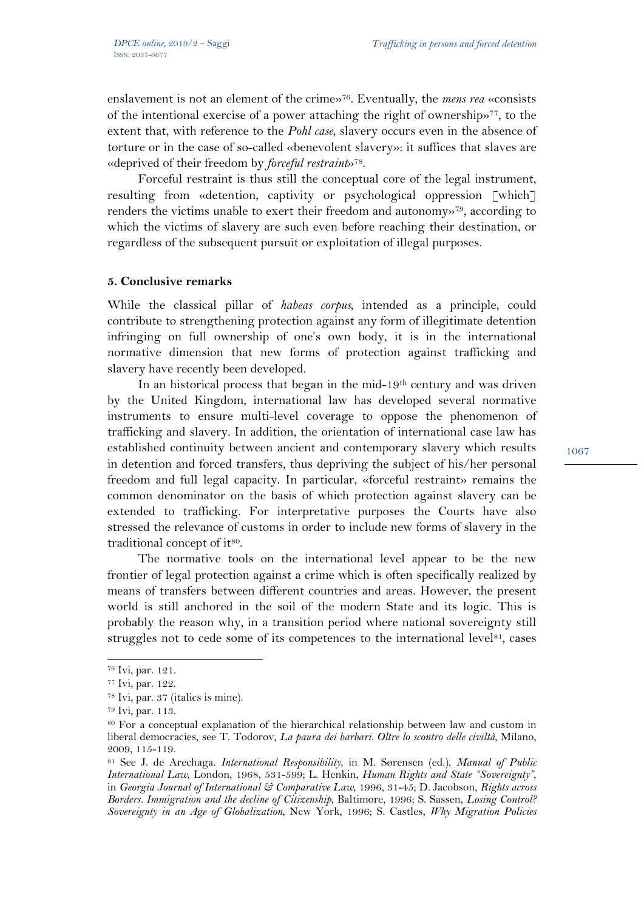enslavement is not an element of the crime»76. Eventually, the *mens rea* «consists of the intentional exercise of a power attaching the right of ownership»77, to the extent that, with reference to the *Pohl case*, slavery occurs even in the absence of torture or in the case of so-called «benevolent slavery»: it suffices that slaves are «deprived of their freedom by *forceful restraint*»78.

Forceful restraint is thus still the conceptual core of the legal instrument, resulting from «detention, captivity or psychological oppression [which] renders the victims unable to exert their freedom and autonomy»79, according to which the victims of slavery are such even before reaching their destination, or regardless of the subsequent pursuit or exploitation of illegal purposes.

#### **5. Conclusive remarks**

While the classical pillar of *habeas corpus*, intended as a principle, could contribute to strengthening protection against any form of illegitimate detention infringing on full ownership of one's own body, it is in the international normative dimension that new forms of protection against trafficking and slavery have recently been developed.

In an historical process that began in the mid-19<sup>th</sup> century and was driven by the United Kingdom, international law has developed several normative instruments to ensure multi-level coverage to oppose the phenomenon of trafficking and slavery. In addition, the orientation of international case law has established continuity between ancient and contemporary slavery which results in detention and forced transfers, thus depriving the subject of his/her personal freedom and full legal capacity. In particular, «forceful restraint» remains the common denominator on the basis of which protection against slavery can be extended to trafficking. For interpretative purposes the Courts have also stressed the relevance of customs in order to include new forms of slavery in the traditional concept of it<sup>80</sup>.

The normative tools on the international level appear to be the new frontier of legal protection against a crime which is often specifically realized by means of transfers between different countries and areas. However, the present world is still anchored in the soil of the modern State and its logic. This is probably the reason why, in a transition period where national sovereignty still struggles not to cede some of its competences to the international level<sup>81</sup>, cases

 $\overline{a}$ 

<sup>76</sup> Ivi, par. 121.

<sup>77</sup> Ivi, par. 122.

<sup>78</sup> Ivi, par. 37 (italics is mine).

<sup>79</sup> Ivi, par. 113.

<sup>80</sup> For a conceptual explanation of the hierarchical relationship between law and custom in liberal democracies, see T. Todorov, *La paura dei barbari. Oltre lo scontro delle civiltà*, Milano, 2009, 115-119.

<sup>81</sup> See J. de Arechaga. *International Responsibility*, in M. Sørensen (ed.), *Manual of Public International Law*, London, 1968, 531-599; L. Henkin, *Human Rights and State "Sovereignty"*, in *Georgia Journal of International & Comparative Law*, 1996, 31-45; D. Jacobson, *Rights across Borders. Immigration and the decline of Citizenship*, Baltimore, 1996; S. Sassen, *Losing Control? Sovereignty in an Age of Globalization*, New York, 1996; S. Castles, *Why Migration Policies*